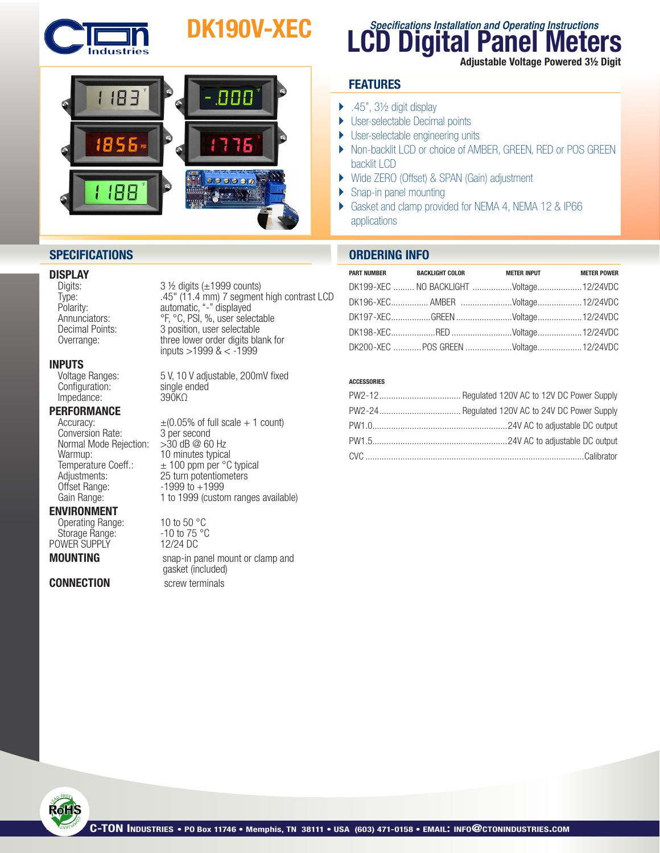

# DK190V-XEC



## **DISPLAY**<br>Digits:

**INPUTS**<br>Voltage Ranges:  $Configuration:$  single endededed single endeded some single ended single ended single ended single ended single ended single ended single ended single ended single ended single ended single ended single ended single ended single e Impedance:

## **PERFORMANCE**<br>Accuracy:

Conversion Rate: 3 per second<br>Normal Mode Rejection: > 30 dB @ 60 Hz Normal Mode Rejection:<br>Warmup: Offset Range: 1999 to +1999<br>Gain Range: 1 to 1999 (custo

#### ENVIRONMENT

Operating Range: 10 to 50 °C<br>Storage Range: 10 to 75 °C Storage Range: 310 to 75<br>
STARE SUPPLY 12/24 DC POWER SUPPLY

#### **CONNECTION** screw terminals

Digits: 3 ½ digits (±1999 counts)<br>Type: 3 15" (11.4 mm) 7 segment Type: .45" (11.4 mm) 7 segment high contrast LCD Polarity: automatic, "-" displayed Annunciators: <sup>org</sup>, <sup>o</sup>C, PSI, %, user selectable Decimal Points: 3 position, user selectable Overrange: three lower order digits blank for inputs >1999 & < -1999

5 V, 10 V adjustable, 200mV fixed single ended

 $\pm (0.05\% \text{ of full scale} + 1 \text{ count})$ <br>3 per second 10 minutes typical Temperature Coeff.:  $\pm 100$  ppm per °C typical<br>Adjustments: 25 turn potentiometers Adjustments: 25 turn potentiometers<br>Offset Range: 1999 to +1999 1 to 1999 (custom ranges available)

**MOUNTING** snap-in panel mount or clamp and gasket (included)

## **LCD Digital Panel Meters Specifications Installation and Operating Instructions**

Adjustable Voltage Powered 3½ Digit

### **FEATURES**

- $\blacktriangleright$  .45", 3½ digit display
- **User-selectable Decimal points**
- ▶ User-selectable engineering units
- ▶ Non-backlit LCD or choice of AMBER, GREEN, RED or POS GREEN backlit LCD
- } Wide ZERO (Offset) & SPAN (Gain) adjustment
- ▶ Snap-in panel mounting
- } Gasket and clamp provided for NEMA 4, NEMA 12 & IP66 applications

### **SPECIFICATIONS ORDERING INFO**

| PART NUMBER BACKLIGHT COLOR | <b>METER INPUT</b>                      | <b>METER POWER</b> |
|-----------------------------|-----------------------------------------|--------------------|
|                             | DK199-XEC  NO BACKLIGHT Voltage12/24VDC |                    |
|                             | DK196-XEC AMBER Voltage12/24VDC         |                    |
|                             |                                         |                    |
|                             |                                         |                    |
|                             | DK200-XEC POS GREEN Voltage12/24VDC     |                    |

#### ACCESSORIES